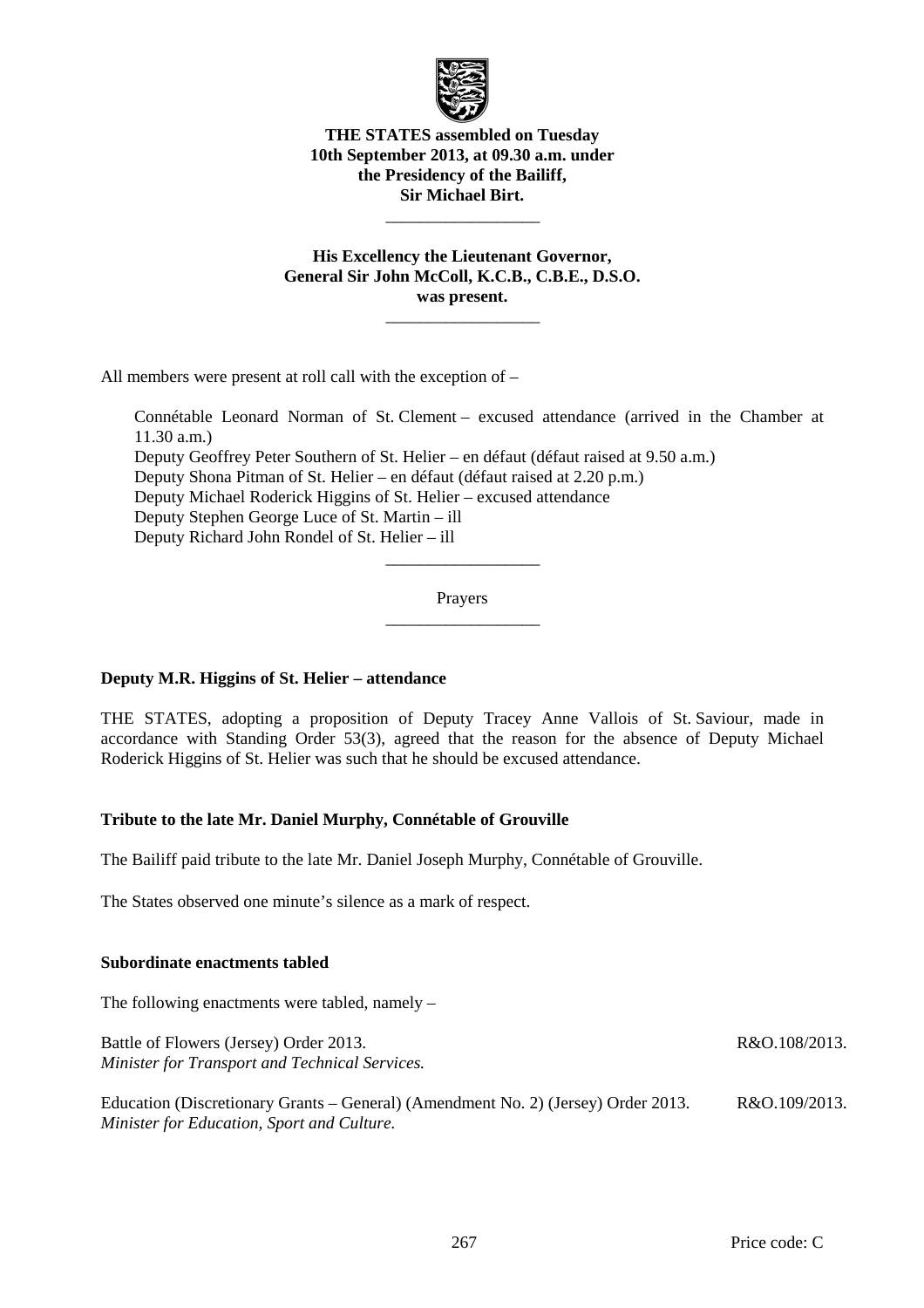

**THE STATES assembled on Tuesday 10th September 2013, at 09.30 a.m. under the Presidency of the Bailiff, Sir Michael Birt.** 

 $\frac{1}{\sqrt{2\pi}}\left[\frac{1}{\sqrt{2\pi}}\frac{1}{\sqrt{2\pi}}\frac{1}{\sqrt{2\pi}}\frac{1}{\sqrt{2\pi}}\frac{1}{\sqrt{2\pi}}\frac{1}{\sqrt{2\pi}}\frac{1}{\sqrt{2\pi}}\frac{1}{\sqrt{2\pi}}\frac{1}{\sqrt{2\pi}}\frac{1}{\sqrt{2\pi}}\frac{1}{\sqrt{2\pi}}\frac{1}{\sqrt{2\pi}}\frac{1}{\sqrt{2\pi}}\frac{1}{\sqrt{2\pi}}\frac{1}{\sqrt{2\pi}}\frac{1}{\sqrt{2\pi}}\frac{1}{\sqrt{2\pi}}\frac$ 

**His Excellency the Lieutenant Governor, General Sir John McColl, K.C.B., C.B.E., D.S.O. was present.** 

 $\frac{1}{\sqrt{2\pi}}\left[\frac{1}{\sqrt{2\pi}}\frac{1}{\sqrt{2\pi}}\frac{1}{\sqrt{2\pi}}\frac{1}{\sqrt{2\pi}}\frac{1}{\sqrt{2\pi}}\frac{1}{\sqrt{2\pi}}\frac{1}{\sqrt{2\pi}}\frac{1}{\sqrt{2\pi}}\frac{1}{\sqrt{2\pi}}\frac{1}{\sqrt{2\pi}}\frac{1}{\sqrt{2\pi}}\frac{1}{\sqrt{2\pi}}\frac{1}{\sqrt{2\pi}}\frac{1}{\sqrt{2\pi}}\frac{1}{\sqrt{2\pi}}\frac{1}{\sqrt{2\pi}}\frac{1}{\sqrt{2\pi}}\frac$ 

All members were present at roll call with the exception of –

 Connétable Leonard Norman of St. Clement – excused attendance (arrived in the Chamber at  $11.30$  a.m.) Deputy Geoffrey Peter Southern of St. Helier – en défaut (défaut raised at 9.50 a.m.) Deputy Shona Pitman of St. Helier – en défaut (défaut raised at 2.20 p.m.) Deputy Michael Roderick Higgins of St. Helier – excused attendance Deputy Stephen George Luce of St. Martin – ill Deputy Richard John Rondel of St. Helier – ill

> Prayers  $\frac{1}{\sqrt{2\pi}}\left[\frac{1}{\sqrt{2\pi}}\frac{1}{\sqrt{2\pi}}\frac{1}{\sqrt{2\pi}}\frac{1}{\sqrt{2\pi}}\frac{1}{\sqrt{2\pi}}\frac{1}{\sqrt{2\pi}}\frac{1}{\sqrt{2\pi}}\frac{1}{\sqrt{2\pi}}\frac{1}{\sqrt{2\pi}}\frac{1}{\sqrt{2\pi}}\frac{1}{\sqrt{2\pi}}\frac{1}{\sqrt{2\pi}}\frac{1}{\sqrt{2\pi}}\frac{1}{\sqrt{2\pi}}\frac{1}{\sqrt{2\pi}}\frac{1}{\sqrt{2\pi}}\frac{1}{\sqrt{2\pi}}\frac$

> $\frac{1}{\sqrt{2\pi}}\left[\frac{1}{\sqrt{2\pi}}\frac{1}{\sqrt{2\pi}}\frac{1}{\sqrt{2\pi}}\frac{1}{\sqrt{2\pi}}\frac{1}{\sqrt{2\pi}}\frac{1}{\sqrt{2\pi}}\frac{1}{\sqrt{2\pi}}\frac{1}{\sqrt{2\pi}}\frac{1}{\sqrt{2\pi}}\frac{1}{\sqrt{2\pi}}\frac{1}{\sqrt{2\pi}}\frac{1}{\sqrt{2\pi}}\frac{1}{\sqrt{2\pi}}\frac{1}{\sqrt{2\pi}}\frac{1}{\sqrt{2\pi}}\frac{1}{\sqrt{2\pi}}\frac{1}{\sqrt{2\pi}}\frac$

# **Deputy M.R. Higgins of St. Helier – attendance**

THE STATES, adopting a proposition of Deputy Tracey Anne Vallois of St. Saviour, made in accordance with Standing Order 53(3), agreed that the reason for the absence of Deputy Michael Roderick Higgins of St. Helier was such that he should be excused attendance.

### **Tribute to the late Mr. Daniel Murphy, Connétable of Grouville**

The Bailiff paid tribute to the late Mr. Daniel Joseph Murphy, Connétable of Grouville.

The States observed one minute's silence as a mark of respect.

### **Subordinate enactments tabled**

The following enactments were tabled, namely –

Battle of Flowers (Jersey) Order 2013. *Minister for Transport and Technical Services.* 

Education (Discretionary Grants – General) (Amendment No. 2) (Jersey) Order 2013. *Minister for Education, Sport and Culture.*  R&O.109/2013.

R&O.108/2013.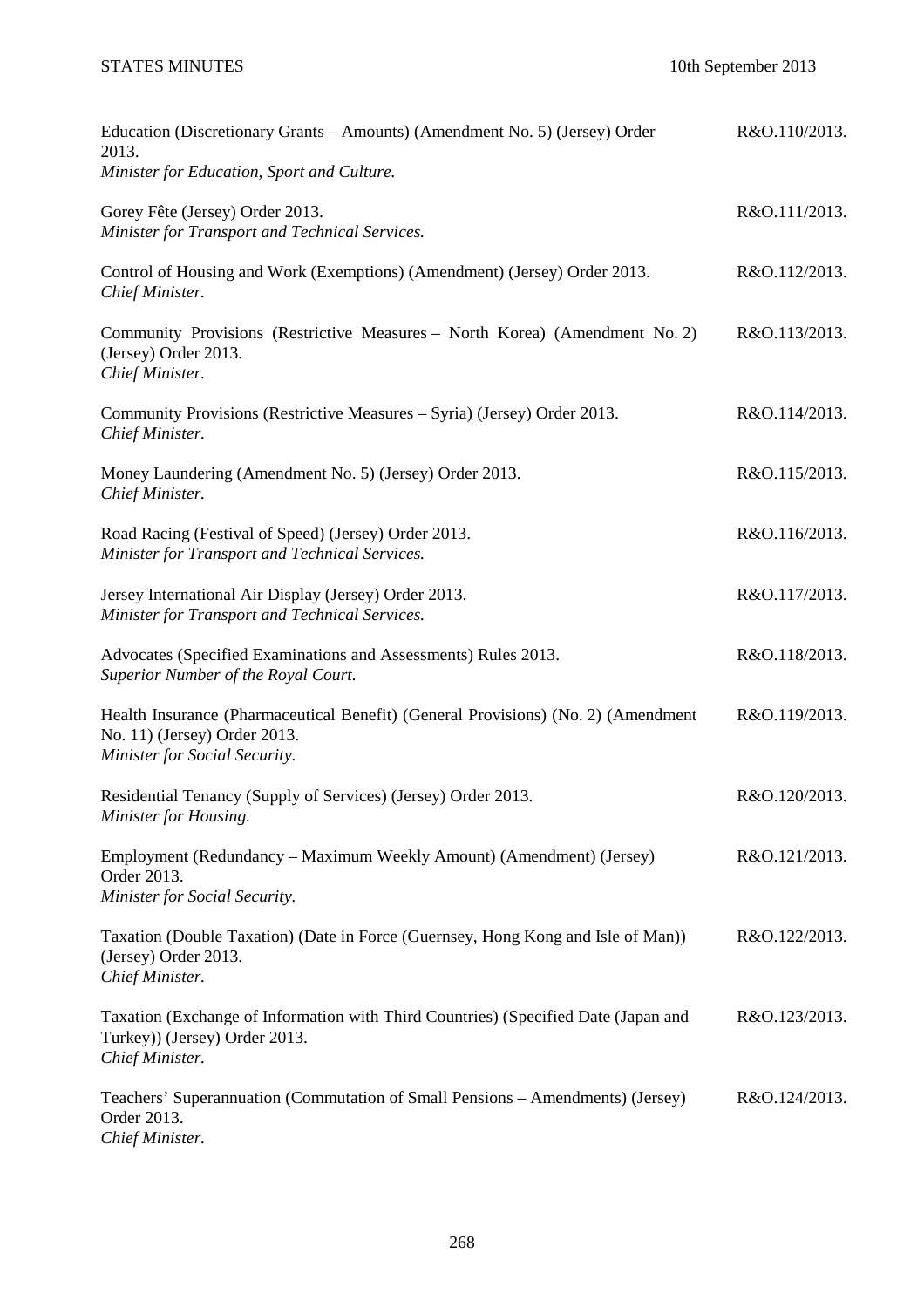| Education (Discretionary Grants – Amounts) (Amendment No. 5) (Jersey) Order<br>2013.<br>Minister for Education, Sport and Culture.                 | R&O.110/2013. |
|----------------------------------------------------------------------------------------------------------------------------------------------------|---------------|
| Gorey Fête (Jersey) Order 2013.<br>Minister for Transport and Technical Services.                                                                  | R&O.111/2013. |
| Control of Housing and Work (Exemptions) (Amendment) (Jersey) Order 2013.<br>Chief Minister.                                                       | R&O.112/2013. |
| Community Provisions (Restrictive Measures - North Korea) (Amendment No. 2)<br>(Jersey) Order 2013.<br>Chief Minister.                             | R&O.113/2013. |
| Community Provisions (Restrictive Measures - Syria) (Jersey) Order 2013.<br>Chief Minister.                                                        | R&O.114/2013. |
| Money Laundering (Amendment No. 5) (Jersey) Order 2013.<br>Chief Minister.                                                                         | R&O.115/2013. |
| Road Racing (Festival of Speed) (Jersey) Order 2013.<br>Minister for Transport and Technical Services.                                             | R&O.116/2013. |
| Jersey International Air Display (Jersey) Order 2013.<br>Minister for Transport and Technical Services.                                            | R&O.117/2013. |
| Advocates (Specified Examinations and Assessments) Rules 2013.<br>Superior Number of the Royal Court.                                              | R&O.118/2013. |
| Health Insurance (Pharmaceutical Benefit) (General Provisions) (No. 2) (Amendment<br>No. 11) (Jersey) Order 2013.<br>Minister for Social Security. | R&O.119/2013. |
| Residential Tenancy (Supply of Services) (Jersey) Order 2013.<br>Minister for Housing.                                                             | R&O.120/2013. |
| Employment (Redundancy – Maximum Weekly Amount) (Amendment) (Jersey)<br>Order 2013.<br>Minister for Social Security.                               | R&O.121/2013. |
| Taxation (Double Taxation) (Date in Force (Guernsey, Hong Kong and Isle of Man))<br>(Jersey) Order 2013.<br>Chief Minister.                        | R&O.122/2013. |
| Taxation (Exchange of Information with Third Countries) (Specified Date (Japan and<br>Turkey)) (Jersey) Order 2013.<br>Chief Minister.             | R&O.123/2013. |
| Teachers' Superannuation (Commutation of Small Pensions – Amendments) (Jersey)<br>Order 2013.<br>Chief Minister.                                   | R&O.124/2013. |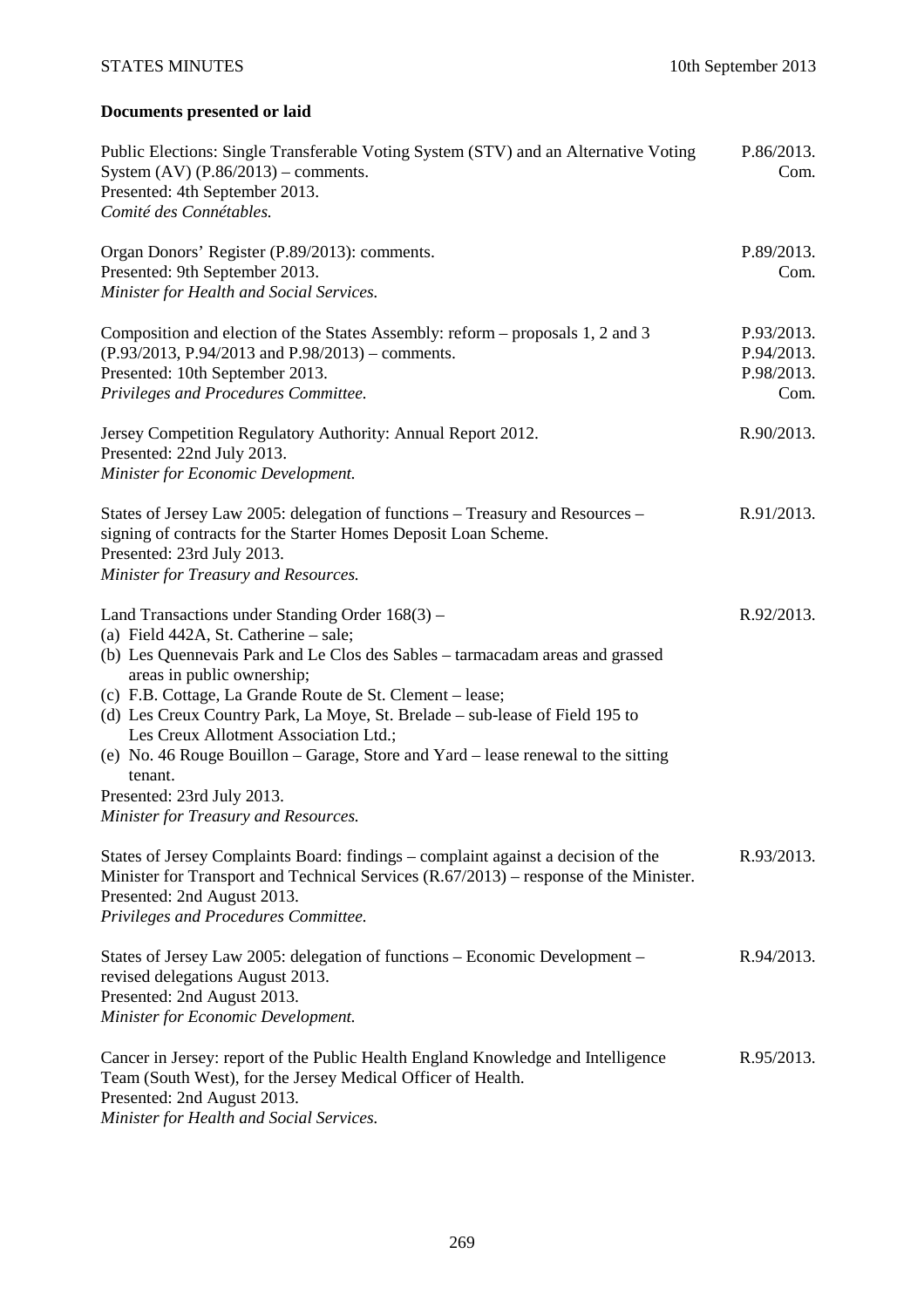# STATES MINUTES 10th September 2013

# **Documents presented or laid**

| Public Elections: Single Transferable Voting System (STV) and an Alternative Voting<br>System $(AV)$ $(P.86/2013)$ – comments.<br>Presented: 4th September 2013.<br>Comité des Connétables.                                                                                                                                                                                                                                                                                                                                 | P.86/2013.<br>Com.                             |
|-----------------------------------------------------------------------------------------------------------------------------------------------------------------------------------------------------------------------------------------------------------------------------------------------------------------------------------------------------------------------------------------------------------------------------------------------------------------------------------------------------------------------------|------------------------------------------------|
| Organ Donors' Register (P.89/2013): comments.<br>Presented: 9th September 2013.<br>Minister for Health and Social Services.                                                                                                                                                                                                                                                                                                                                                                                                 | P.89/2013.<br>Com.                             |
| Composition and election of the States Assembly: reform – proposals 1, 2 and 3<br>$(P.93/2013, P.94/2013$ and $P.98/2013$ ) – comments.<br>Presented: 10th September 2013.<br>Privileges and Procedures Committee.                                                                                                                                                                                                                                                                                                          | P.93/2013.<br>P.94/2013.<br>P.98/2013.<br>Com. |
| Jersey Competition Regulatory Authority: Annual Report 2012.<br>Presented: 22nd July 2013.<br>Minister for Economic Development.                                                                                                                                                                                                                                                                                                                                                                                            | R.90/2013.                                     |
| States of Jersey Law 2005: delegation of functions - Treasury and Resources -<br>signing of contracts for the Starter Homes Deposit Loan Scheme.<br>Presented: 23rd July 2013.<br>Minister for Treasury and Resources.                                                                                                                                                                                                                                                                                                      | R.91/2013.                                     |
| Land Transactions under Standing Order 168(3) –<br>(a) Field 442A, St. Catherine - sale;<br>(b) Les Quennevais Park and Le Clos des Sables - tarmacadam areas and grassed<br>areas in public ownership;<br>(c) F.B. Cottage, La Grande Route de St. Clement – lease;<br>(d) Les Creux Country Park, La Moye, St. Brelade – sub-lease of Field 195 to<br>Les Creux Allotment Association Ltd.;<br>(e) No. 46 Rouge Bouillon – Garage, Store and Yard – lease renewal to the sitting<br>tenant.<br>Presented: 23rd July 2013. | R.92/2013.                                     |
| Minister for Treasury and Resources.<br>States of Jersey Complaints Board: findings - complaint against a decision of the<br>Minister for Transport and Technical Services (R.67/2013) – response of the Minister.<br>Presented: 2nd August 2013.<br>Privileges and Procedures Committee.                                                                                                                                                                                                                                   | R.93/2013.                                     |
| States of Jersey Law 2005: delegation of functions – Economic Development –<br>revised delegations August 2013.<br>Presented: 2nd August 2013.<br>Minister for Economic Development.                                                                                                                                                                                                                                                                                                                                        | R.94/2013.                                     |
| Cancer in Jersey: report of the Public Health England Knowledge and Intelligence<br>Team (South West), for the Jersey Medical Officer of Health.<br>Presented: 2nd August 2013.<br>Minister for Health and Social Services.                                                                                                                                                                                                                                                                                                 | R.95/2013.                                     |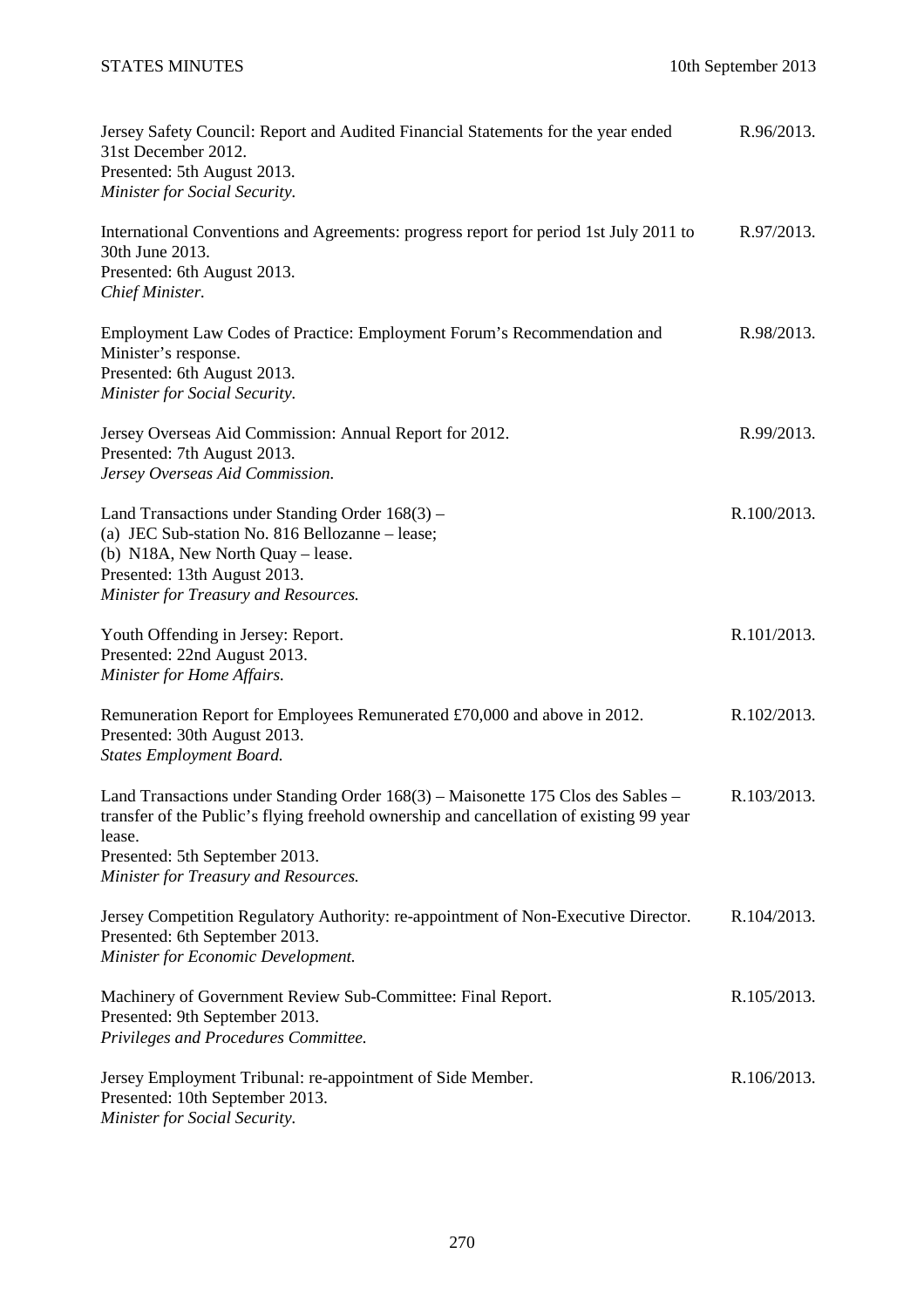| Jersey Safety Council: Report and Audited Financial Statements for the year ended<br>31st December 2012.<br>Presented: 5th August 2013.<br>Minister for Social Security.                                                                                        | R.96/2013.  |
|-----------------------------------------------------------------------------------------------------------------------------------------------------------------------------------------------------------------------------------------------------------------|-------------|
| International Conventions and Agreements: progress report for period 1st July 2011 to<br>30th June 2013.<br>Presented: 6th August 2013.<br>Chief Minister.                                                                                                      | R.97/2013.  |
| Employment Law Codes of Practice: Employment Forum's Recommendation and<br>Minister's response.<br>Presented: 6th August 2013.<br>Minister for Social Security.                                                                                                 | R.98/2013.  |
| Jersey Overseas Aid Commission: Annual Report for 2012.<br>Presented: 7th August 2013.<br>Jersey Overseas Aid Commission.                                                                                                                                       | R.99/2013.  |
| Land Transactions under Standing Order $168(3)$ –<br>(a) JEC Sub-station No. 816 Bellozanne - lease;<br>(b) N18A, New North Quay – lease.<br>Presented: 13th August 2013.<br>Minister for Treasury and Resources.                                               | R.100/2013. |
| Youth Offending in Jersey: Report.<br>Presented: 22nd August 2013.<br>Minister for Home Affairs.                                                                                                                                                                | R.101/2013. |
| Remuneration Report for Employees Remunerated £70,000 and above in 2012.<br>Presented: 30th August 2013.<br><b>States Employment Board.</b>                                                                                                                     | R.102/2013. |
| Land Transactions under Standing Order 168(3) - Maisonette 175 Clos des Sables -<br>transfer of the Public's flying freehold ownership and cancellation of existing 99 year<br>lease.<br>Presented: 5th September 2013.<br>Minister for Treasury and Resources. | R.103/2013. |
| Jersey Competition Regulatory Authority: re-appointment of Non-Executive Director.<br>Presented: 6th September 2013.<br>Minister for Economic Development.                                                                                                      | R.104/2013. |
| Machinery of Government Review Sub-Committee: Final Report.<br>Presented: 9th September 2013.<br>Privileges and Procedures Committee.                                                                                                                           | R.105/2013. |
| Jersey Employment Tribunal: re-appointment of Side Member.<br>Presented: 10th September 2013.<br>Minister for Social Security.                                                                                                                                  | R.106/2013. |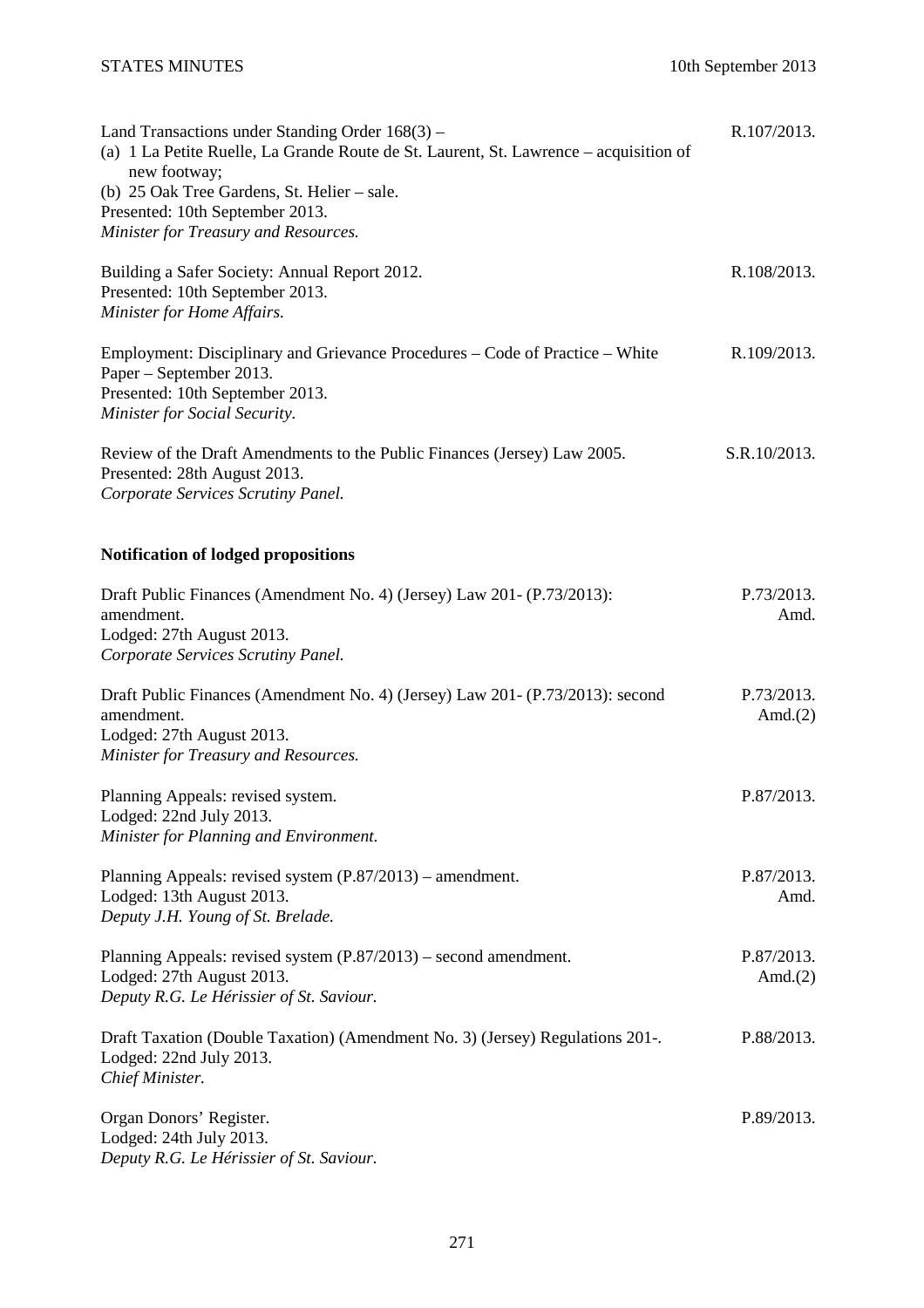| Land Transactions under Standing Order 168(3) -<br>(a) 1 La Petite Ruelle, La Grande Route de St. Laurent, St. Lawrence - acquisition of<br>new footway; | R.107/2013.              |
|----------------------------------------------------------------------------------------------------------------------------------------------------------|--------------------------|
| (b) 25 Oak Tree Gardens, St. Helier - sale.<br>Presented: 10th September 2013.                                                                           |                          |
| Minister for Treasury and Resources.                                                                                                                     |                          |
|                                                                                                                                                          |                          |
| Building a Safer Society: Annual Report 2012.                                                                                                            | R.108/2013.              |
| Presented: 10th September 2013.                                                                                                                          |                          |
| Minister for Home Affairs.                                                                                                                               |                          |
| Employment: Disciplinary and Grievance Procedures - Code of Practice - White<br>Paper – September 2013.<br>Presented: 10th September 2013.               | R.109/2013.              |
| Minister for Social Security.                                                                                                                            |                          |
|                                                                                                                                                          |                          |
| Review of the Draft Amendments to the Public Finances (Jersey) Law 2005.                                                                                 | S.R.10/2013.             |
| Presented: 28th August 2013.                                                                                                                             |                          |
| Corporate Services Scrutiny Panel.                                                                                                                       |                          |
|                                                                                                                                                          |                          |
| <b>Notification of lodged propositions</b>                                                                                                               |                          |
|                                                                                                                                                          | P.73/2013.               |
| Draft Public Finances (Amendment No. 4) (Jersey) Law 201- (P.73/2013):<br>amendment.                                                                     | Amd.                     |
| Lodged: 27th August 2013.                                                                                                                                |                          |
| Corporate Services Scrutiny Panel.                                                                                                                       |                          |
|                                                                                                                                                          |                          |
| Draft Public Finances (Amendment No. 4) (Jersey) Law 201- (P.73/2013): second                                                                            | P.73/2013.               |
| amendment.<br>Lodged: 27th August 2013.                                                                                                                  | Amd. $(2)$               |
| Minister for Treasury and Resources.                                                                                                                     |                          |
|                                                                                                                                                          |                          |
| Planning Appeals: revised system.                                                                                                                        | P.87/2013.               |
| Lodged: 22nd July 2013.                                                                                                                                  |                          |
| Minister for Planning and Environment.                                                                                                                   |                          |
| Planning Appeals: revised system (P.87/2013) – amendment.                                                                                                | P.87/2013.               |
| Lodged: 13th August 2013.                                                                                                                                | Amd.                     |
| Deputy J.H. Young of St. Brelade.                                                                                                                        |                          |
|                                                                                                                                                          |                          |
| Planning Appeals: revised system (P.87/2013) – second amendment.<br>Lodged: 27th August 2013.                                                            | P.87/2013.<br>Amd. $(2)$ |
| Deputy R.G. Le Hérissier of St. Saviour.                                                                                                                 |                          |
|                                                                                                                                                          |                          |
| Draft Taxation (Double Taxation) (Amendment No. 3) (Jersey) Regulations 201-.                                                                            | P.88/2013.               |
| Lodged: 22nd July 2013.                                                                                                                                  |                          |
| Chief Minister.                                                                                                                                          |                          |
| Organ Donors' Register.                                                                                                                                  | P.89/2013.               |
| Lodged: 24th July 2013.                                                                                                                                  |                          |
| Deputy R.G. Le Hérissier of St. Saviour.                                                                                                                 |                          |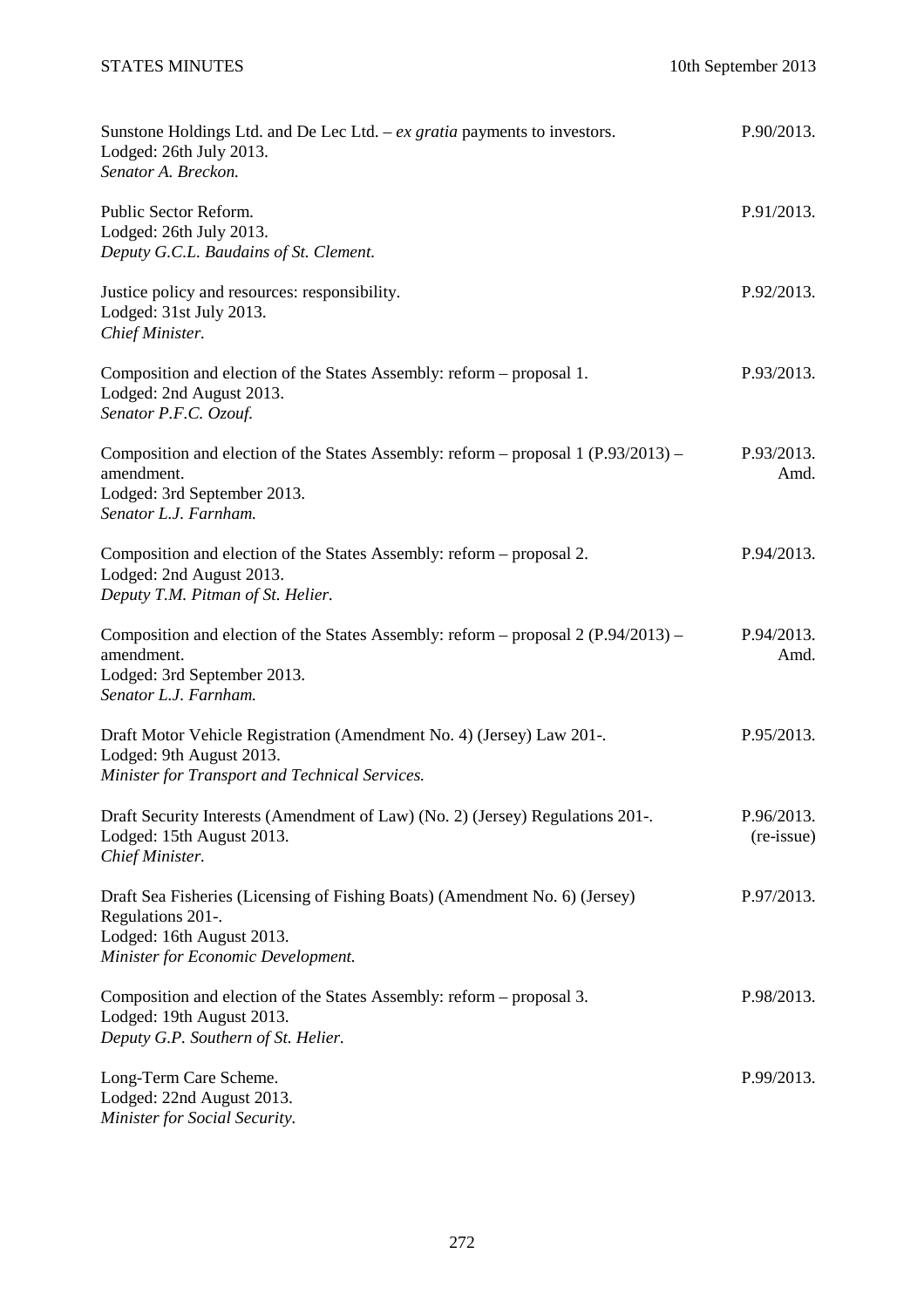| Sunstone Holdings Ltd. and De Lec Ltd. $-ex$ gratia payments to investors.<br>Lodged: 26th July 2013.<br>Senator A. Breckon.                                        | P.90/2013.               |
|---------------------------------------------------------------------------------------------------------------------------------------------------------------------|--------------------------|
| Public Sector Reform.<br>Lodged: 26th July 2013.<br>Deputy G.C.L. Baudains of St. Clement.                                                                          | P.91/2013.               |
| Justice policy and resources: responsibility.<br>Lodged: 31st July 2013.<br>Chief Minister.                                                                         | P.92/2013.               |
| Composition and election of the States Assembly: reform – proposal 1.<br>Lodged: 2nd August 2013.<br>Senator P.F.C. Ozouf.                                          | P.93/2013.               |
| Composition and election of the States Assembly: reform – proposal 1 (P.93/2013) –<br>amendment.<br>Lodged: 3rd September 2013.<br>Senator L.J. Farnham.            | P.93/2013.<br>Amd.       |
| Composition and election of the States Assembly: reform – proposal 2.<br>Lodged: 2nd August 2013.<br>Deputy T.M. Pitman of St. Helier.                              | P.94/2013.               |
| Composition and election of the States Assembly: reform – proposal 2 (P.94/2013) –<br>amendment.<br>Lodged: 3rd September 2013.<br>Senator L.J. Farnham.            | P.94/2013.<br>Amd.       |
| Draft Motor Vehicle Registration (Amendment No. 4) (Jersey) Law 201-.<br>Lodged: 9th August 2013.<br>Minister for Transport and Technical Services.                 | P.95/2013.               |
| Draft Security Interests (Amendment of Law) (No. 2) (Jersey) Regulations 201-.<br>Lodged: 15th August 2013.<br>Chief Minister.                                      | P.96/2013.<br>(re-issue) |
| Draft Sea Fisheries (Licensing of Fishing Boats) (Amendment No. 6) (Jersey)<br>Regulations 201-.<br>Lodged: 16th August 2013.<br>Minister for Economic Development. | P.97/2013.               |
| Composition and election of the States Assembly: reform – proposal 3.<br>Lodged: 19th August 2013.<br>Deputy G.P. Southern of St. Helier.                           | P.98/2013.               |
| Long-Term Care Scheme.<br>Lodged: 22nd August 2013.<br>Minister for Social Security.                                                                                | P.99/2013.               |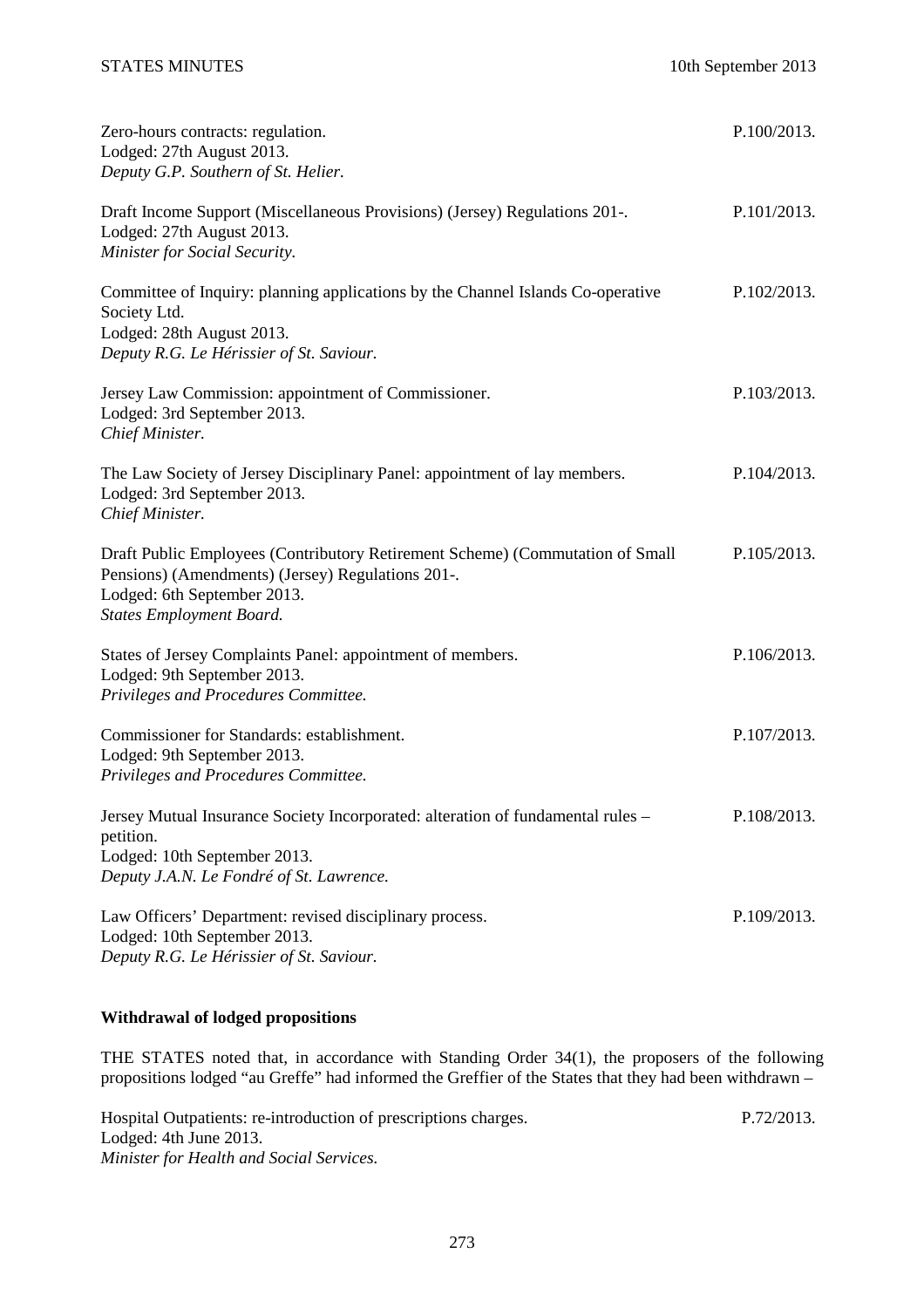| Zero-hours contracts: regulation.<br>Lodged: 27th August 2013.<br>Deputy G.P. Southern of St. Helier.                                                                                                | P.100/2013. |
|------------------------------------------------------------------------------------------------------------------------------------------------------------------------------------------------------|-------------|
| Draft Income Support (Miscellaneous Provisions) (Jersey) Regulations 201-.<br>Lodged: 27th August 2013.<br>Minister for Social Security.                                                             | P.101/2013. |
| Committee of Inquiry: planning applications by the Channel Islands Co-operative<br>Society Ltd.<br>Lodged: 28th August 2013.<br>Deputy R.G. Le Hérissier of St. Saviour.                             | P.102/2013. |
| Jersey Law Commission: appointment of Commissioner.<br>Lodged: 3rd September 2013.<br>Chief Minister.                                                                                                | P.103/2013. |
| The Law Society of Jersey Disciplinary Panel: appointment of lay members.<br>Lodged: 3rd September 2013.<br>Chief Minister.                                                                          | P.104/2013. |
| Draft Public Employees (Contributory Retirement Scheme) (Commutation of Small<br>Pensions) (Amendments) (Jersey) Regulations 201-.<br>Lodged: 6th September 2013.<br><b>States Employment Board.</b> | P.105/2013. |
| States of Jersey Complaints Panel: appointment of members.<br>Lodged: 9th September 2013.<br>Privileges and Procedures Committee.                                                                    | P.106/2013. |
| Commissioner for Standards: establishment.<br>Lodged: 9th September 2013.<br>Privileges and Procedures Committee.                                                                                    | P.107/2013. |
| Jersey Mutual Insurance Society Incorporated: alteration of fundamental rules -<br>petition.<br>Lodged: 10th September 2013.                                                                         | P.108/2013. |
| Deputy J.A.N. Le Fondré of St. Lawrence.<br>Law Officers' Department: revised disciplinary process.<br>Lodged: 10th September 2013.<br>Deputy R.G. Le Hérissier of St. Saviour.                      | P.109/2013. |

# **Withdrawal of lodged propositions**

THE STATES noted that, in accordance with Standing Order 34(1), the proposers of the following propositions lodged "au Greffe" had informed the Greffier of the States that they had been withdrawn –

Hospital Outpatients: re-introduction of prescriptions charges. Lodged: 4th June 2013. *Minister for Health and Social Services.*  P.72/2013.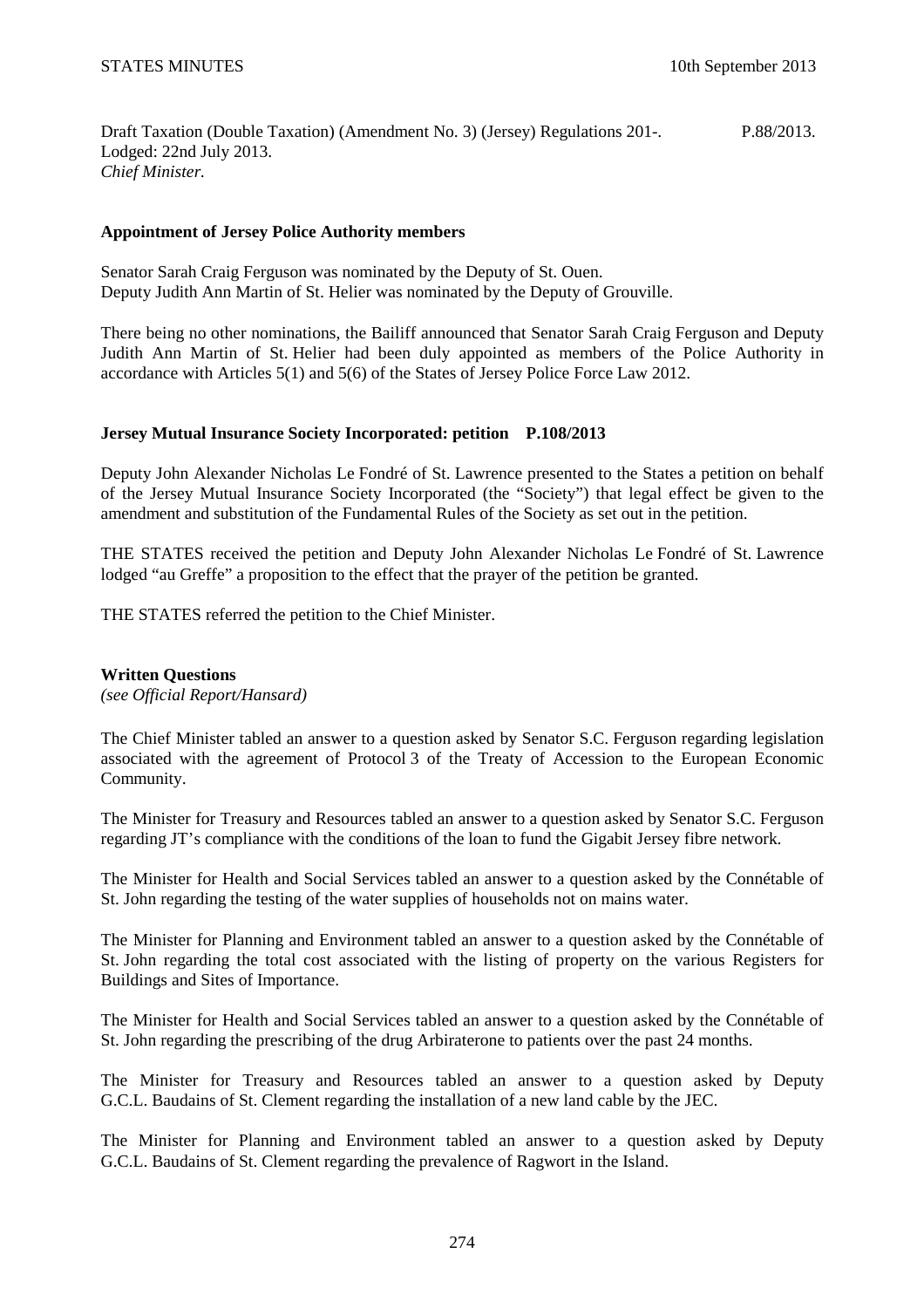Draft Taxation (Double Taxation) (Amendment No. 3) (Jersey) Regulations 201-. Lodged: 22nd July 2013. *Chief Minister.*  P.88/2013.

## **Appointment of Jersey Police Authority members**

Senator Sarah Craig Ferguson was nominated by the Deputy of St. Ouen. Deputy Judith Ann Martin of St. Helier was nominated by the Deputy of Grouville.

There being no other nominations, the Bailiff announced that Senator Sarah Craig Ferguson and Deputy Judith Ann Martin of St. Helier had been duly appointed as members of the Police Authority in accordance with Articles 5(1) and 5(6) of the States of Jersey Police Force Law 2012.

# **Jersey Mutual Insurance Society Incorporated: petition P.108/2013**

Deputy John Alexander Nicholas Le Fondré of St. Lawrence presented to the States a petition on behalf of the Jersey Mutual Insurance Society Incorporated (the "Society") that legal effect be given to the amendment and substitution of the Fundamental Rules of the Society as set out in the petition.

THE STATES received the petition and Deputy John Alexander Nicholas Le Fondré of St. Lawrence lodged "au Greffe" a proposition to the effect that the prayer of the petition be granted.

THE STATES referred the petition to the Chief Minister.

### **Written Questions**

*(see Official Report/Hansard)* 

The Chief Minister tabled an answer to a question asked by Senator S.C. Ferguson regarding legislation associated with the agreement of Protocol 3 of the Treaty of Accession to the European Economic Community.

The Minister for Treasury and Resources tabled an answer to a question asked by Senator S.C. Ferguson regarding JT's compliance with the conditions of the loan to fund the Gigabit Jersey fibre network.

The Minister for Health and Social Services tabled an answer to a question asked by the Connétable of St. John regarding the testing of the water supplies of households not on mains water.

The Minister for Planning and Environment tabled an answer to a question asked by the Connétable of St. John regarding the total cost associated with the listing of property on the various Registers for Buildings and Sites of Importance.

The Minister for Health and Social Services tabled an answer to a question asked by the Connétable of St. John regarding the prescribing of the drug Arbiraterone to patients over the past 24 months.

The Minister for Treasury and Resources tabled an answer to a question asked by Deputy G.C.L. Baudains of St. Clement regarding the installation of a new land cable by the JEC.

The Minister for Planning and Environment tabled an answer to a question asked by Deputy G.C.L. Baudains of St. Clement regarding the prevalence of Ragwort in the Island.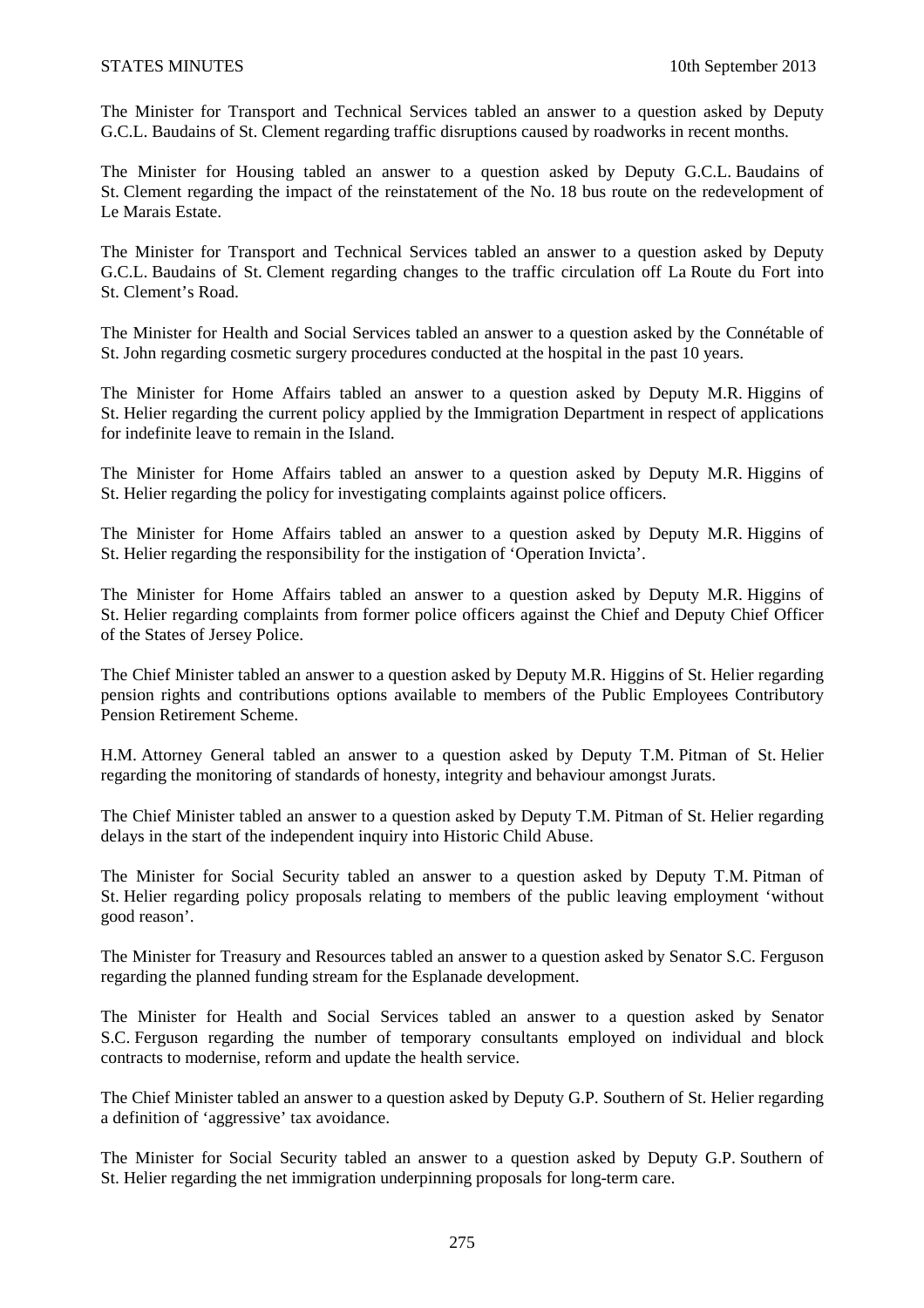The Minister for Transport and Technical Services tabled an answer to a question asked by Deputy G.C.L. Baudains of St. Clement regarding traffic disruptions caused by roadworks in recent months.

The Minister for Housing tabled an answer to a question asked by Deputy G.C.L. Baudains of St. Clement regarding the impact of the reinstatement of the No. 18 bus route on the redevelopment of Le Marais Estate.

The Minister for Transport and Technical Services tabled an answer to a question asked by Deputy G.C.L. Baudains of St. Clement regarding changes to the traffic circulation off La Route du Fort into St. Clement's Road.

The Minister for Health and Social Services tabled an answer to a question asked by the Connétable of St. John regarding cosmetic surgery procedures conducted at the hospital in the past 10 years.

The Minister for Home Affairs tabled an answer to a question asked by Deputy M.R. Higgins of St. Helier regarding the current policy applied by the Immigration Department in respect of applications for indefinite leave to remain in the Island.

The Minister for Home Affairs tabled an answer to a question asked by Deputy M.R. Higgins of St. Helier regarding the policy for investigating complaints against police officers.

The Minister for Home Affairs tabled an answer to a question asked by Deputy M.R. Higgins of St. Helier regarding the responsibility for the instigation of 'Operation Invicta'.

The Minister for Home Affairs tabled an answer to a question asked by Deputy M.R. Higgins of St. Helier regarding complaints from former police officers against the Chief and Deputy Chief Officer of the States of Jersey Police.

The Chief Minister tabled an answer to a question asked by Deputy M.R. Higgins of St. Helier regarding pension rights and contributions options available to members of the Public Employees Contributory Pension Retirement Scheme.

H.M. Attorney General tabled an answer to a question asked by Deputy T.M. Pitman of St. Helier regarding the monitoring of standards of honesty, integrity and behaviour amongst Jurats.

The Chief Minister tabled an answer to a question asked by Deputy T.M. Pitman of St. Helier regarding delays in the start of the independent inquiry into Historic Child Abuse.

The Minister for Social Security tabled an answer to a question asked by Deputy T.M. Pitman of St. Helier regarding policy proposals relating to members of the public leaving employment 'without good reason'.

The Minister for Treasury and Resources tabled an answer to a question asked by Senator S.C. Ferguson regarding the planned funding stream for the Esplanade development.

The Minister for Health and Social Services tabled an answer to a question asked by Senator S.C. Ferguson regarding the number of temporary consultants employed on individual and block contracts to modernise, reform and update the health service.

The Chief Minister tabled an answer to a question asked by Deputy G.P. Southern of St. Helier regarding a definition of 'aggressive' tax avoidance.

The Minister for Social Security tabled an answer to a question asked by Deputy G.P. Southern of St. Helier regarding the net immigration underpinning proposals for long-term care.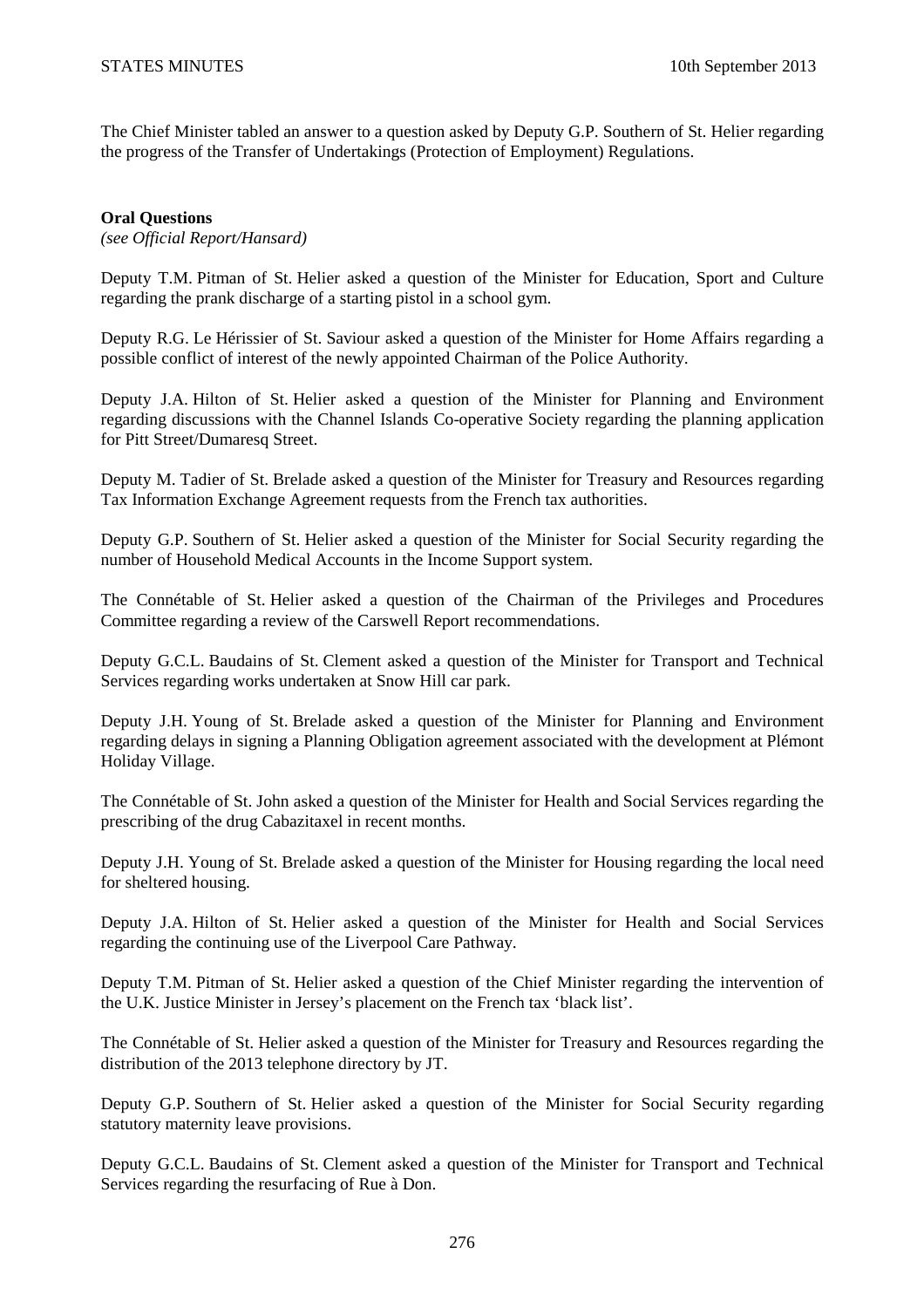The Chief Minister tabled an answer to a question asked by Deputy G.P. Southern of St. Helier regarding the progress of the Transfer of Undertakings (Protection of Employment) Regulations.

### **Oral Questions**

*(see Official Report/Hansard)* 

Deputy T.M. Pitman of St. Helier asked a question of the Minister for Education, Sport and Culture regarding the prank discharge of a starting pistol in a school gym.

Deputy R.G. Le Hérissier of St. Saviour asked a question of the Minister for Home Affairs regarding a possible conflict of interest of the newly appointed Chairman of the Police Authority.

Deputy J.A. Hilton of St. Helier asked a question of the Minister for Planning and Environment regarding discussions with the Channel Islands Co-operative Society regarding the planning application for Pitt Street/Dumaresq Street.

Deputy M. Tadier of St. Brelade asked a question of the Minister for Treasury and Resources regarding Tax Information Exchange Agreement requests from the French tax authorities.

Deputy G.P. Southern of St. Helier asked a question of the Minister for Social Security regarding the number of Household Medical Accounts in the Income Support system.

The Connétable of St. Helier asked a question of the Chairman of the Privileges and Procedures Committee regarding a review of the Carswell Report recommendations.

Deputy G.C.L. Baudains of St. Clement asked a question of the Minister for Transport and Technical Services regarding works undertaken at Snow Hill car park.

Deputy J.H. Young of St. Brelade asked a question of the Minister for Planning and Environment regarding delays in signing a Planning Obligation agreement associated with the development at Plémont Holiday Village.

The Connétable of St. John asked a question of the Minister for Health and Social Services regarding the prescribing of the drug Cabazitaxel in recent months.

Deputy J.H. Young of St. Brelade asked a question of the Minister for Housing regarding the local need for sheltered housing.

Deputy J.A. Hilton of St. Helier asked a question of the Minister for Health and Social Services regarding the continuing use of the Liverpool Care Pathway.

Deputy T.M. Pitman of St. Helier asked a question of the Chief Minister regarding the intervention of the U.K. Justice Minister in Jersey's placement on the French tax 'black list'.

The Connétable of St. Helier asked a question of the Minister for Treasury and Resources regarding the distribution of the 2013 telephone directory by JT.

Deputy G.P. Southern of St. Helier asked a question of the Minister for Social Security regarding statutory maternity leave provisions.

Deputy G.C.L. Baudains of St. Clement asked a question of the Minister for Transport and Technical Services regarding the resurfacing of Rue à Don.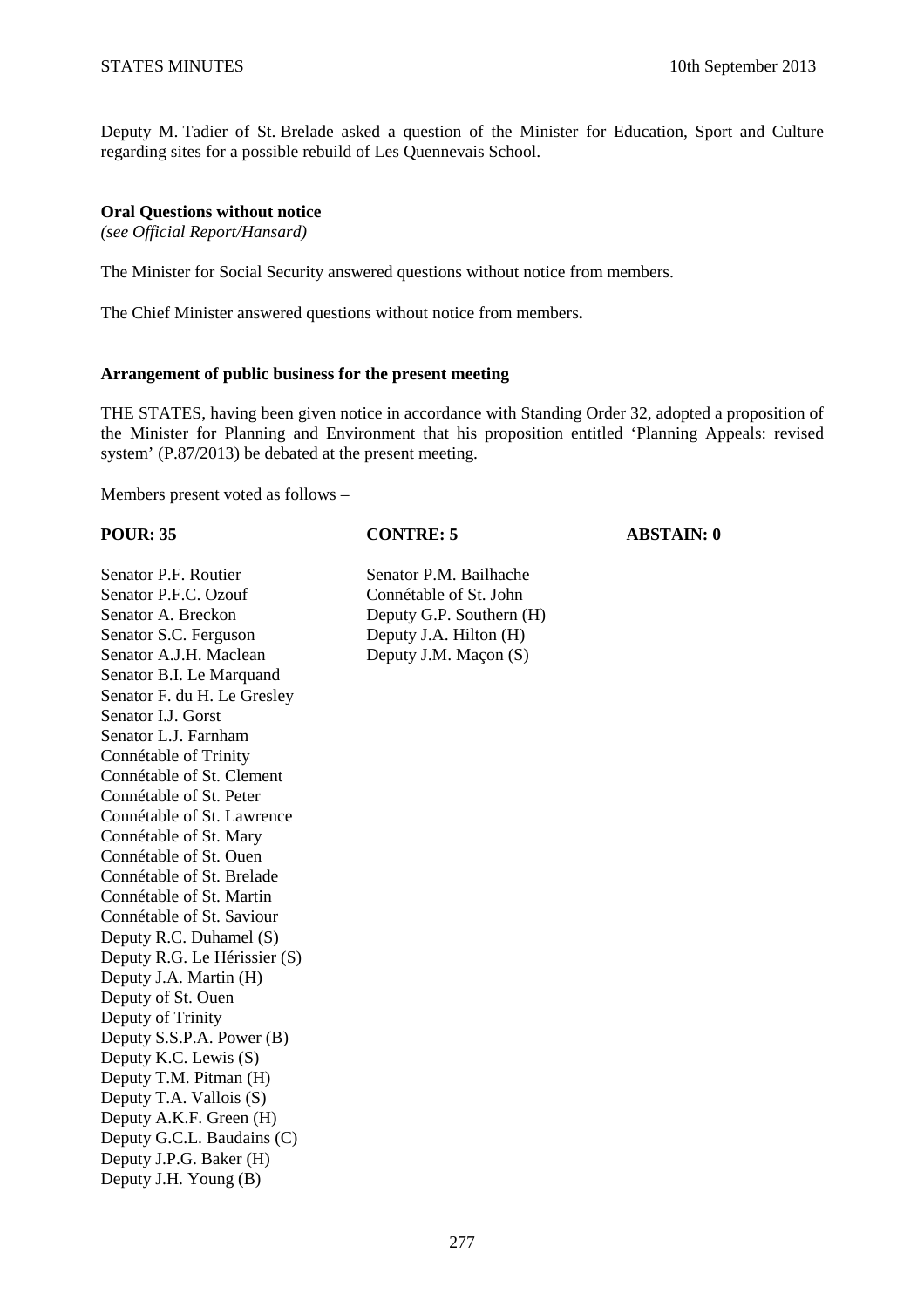Deputy M. Tadier of St. Brelade asked a question of the Minister for Education, Sport and Culture regarding sites for a possible rebuild of Les Quennevais School.

### **Oral Questions without notice**

*(see Official Report/Hansard)* 

The Minister for Social Security answered questions without notice from members.

The Chief Minister answered questions without notice from members**.** 

### **Arrangement of public business for the present meeting**

THE STATES, having been given notice in accordance with Standing Order 32, adopted a proposition of the Minister for Planning and Environment that his proposition entitled 'Planning Appeals: revised system' (P.87/2013) be debated at the present meeting.

Members present voted as follows –

### **POUR: 35 CONTRE: 5 ABSTAIN: 0**

Senator P.F. Routier Senator P.M. Bailhache Senator P.F.C. Ozouf Connétable of St. John Senator A. Breckon Deputy G.P. Southern (H) Senator S.C. Ferguson Deputy J.A. Hilton (H) Senator A.J.H. Maclean Deputy J.M. Macon (S) Senator B.I. Le Marquand Senator F. du H. Le Gresley Senator I.J. Gorst Senator L.J. Farnham Connétable of Trinity Connétable of St. Clement Connétable of St. Peter Connétable of St. Lawrence Connétable of St. Mary Connétable of St. Ouen Connétable of St. Brelade Connétable of St. Martin Connétable of St. Saviour Deputy R.C. Duhamel (S) Deputy R.G. Le Hérissier (S) Deputy J.A. Martin (H) Deputy of St. Ouen Deputy of Trinity Deputy S.S.P.A. Power (B) Deputy K.C. Lewis (S) Deputy T.M. Pitman (H) Deputy T.A. Vallois (S) Deputy A.K.F. Green (H) Deputy G.C.L. Baudains (C) Deputy J.P.G. Baker (H) Deputy J.H. Young (B)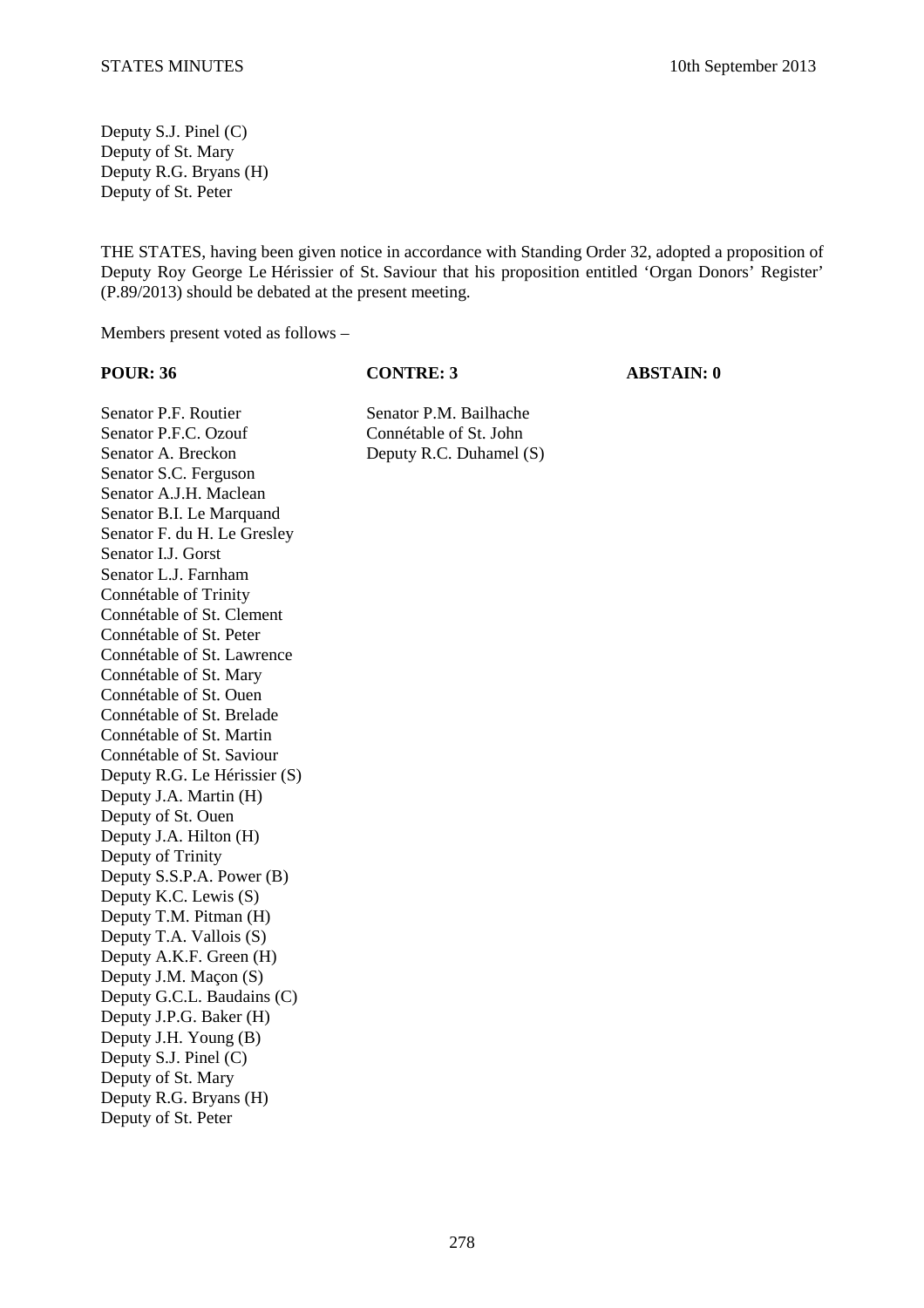Deputy S.J. Pinel (C) Deputy of St. Mary Deputy R.G. Bryans (H) Deputy of St. Peter

THE STATES, having been given notice in accordance with Standing Order 32, adopted a proposition of Deputy Roy George Le Hérissier of St. Saviour that his proposition entitled 'Organ Donors' Register' (P.89/2013) should be debated at the present meeting.

Members present voted as follows –

**POUR: 36 CONTRE: 3 ABSTAIN: 0** 

Senator P.F. Routier Senator P.M. Bailhache Senator P.F.C. Ozouf Connétable of St. John Senator A. Breckon Deputy R.C. Duhamel (S) Senator S.C. Ferguson Senator A.J.H. Maclean Senator B.I. Le Marquand Senator F. du H. Le Gresley Senator I.J. Gorst Senator L.J. Farnham Connétable of Trinity Connétable of St. Clement Connétable of St. Peter Connétable of St. Lawrence Connétable of St. Mary Connétable of St. Ouen Connétable of St. Brelade Connétable of St. Martin Connétable of St. Saviour Deputy R.G. Le Hérissier (S) Deputy J.A. Martin (H) Deputy of St. Ouen Deputy J.A. Hilton (H) Deputy of Trinity Deputy S.S.P.A. Power (B) Deputy K.C. Lewis (S) Deputy T.M. Pitman (H) Deputy T.A. Vallois (S) Deputy A.K.F. Green (H) Deputy J.M. Maçon (S) Deputy G.C.L. Baudains (C) Deputy J.P.G. Baker (H) Deputy J.H. Young (B) Deputy S.J. Pinel (C) Deputy of St. Mary Deputy R.G. Bryans (H) Deputy of St. Peter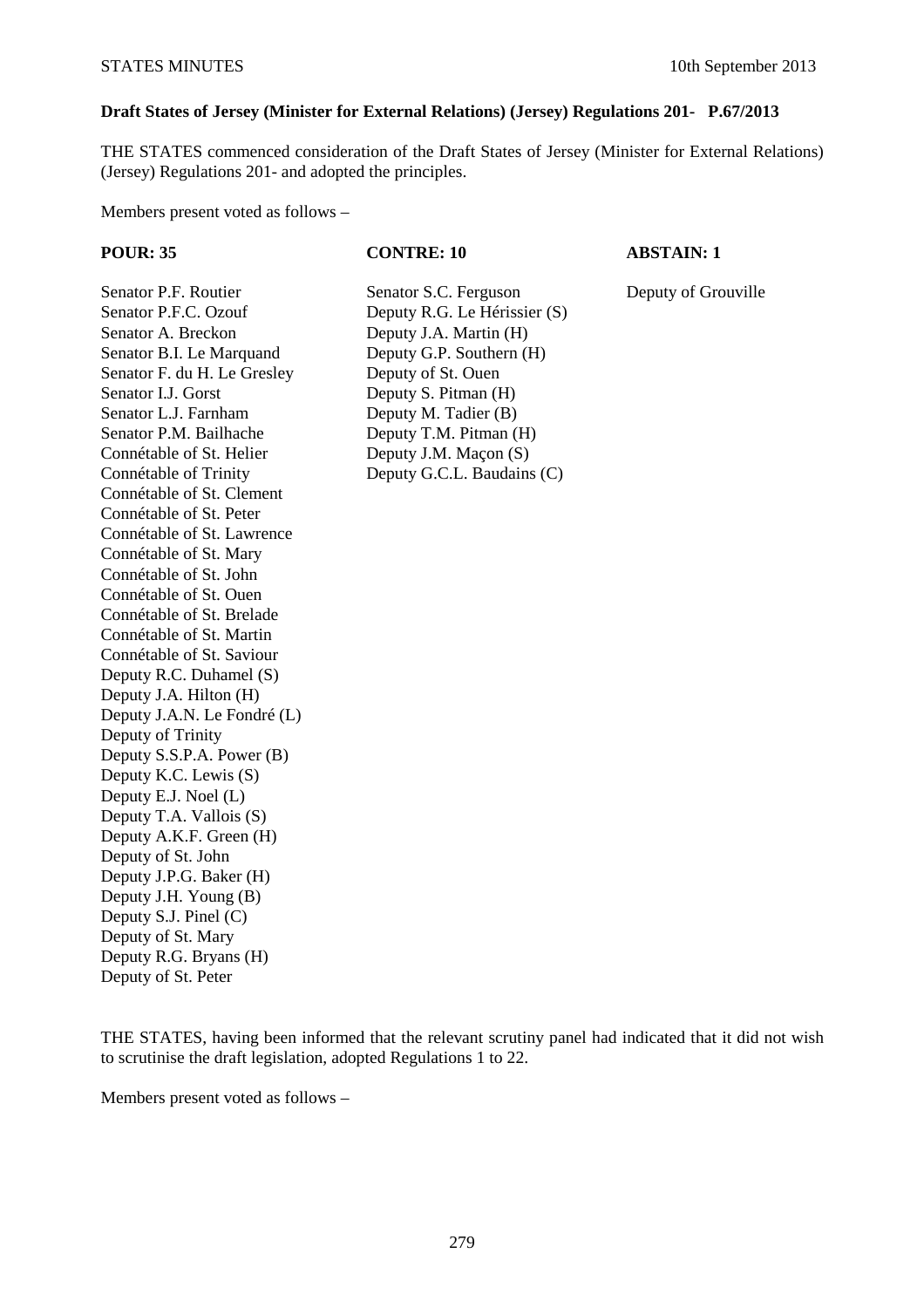## **Draft States of Jersey (Minister for External Relations) (Jersey) Regulations 201- P.67/2013**

THE STATES commenced consideration of the Draft States of Jersey (Minister for External Relations) (Jersey) Regulations 201- and adopted the principles.

Members present voted as follows –

### **POUR: 35 CONTRE: 10 ABSTAIN: 1**

Senator P.F. Routier Senator S.C. Ferguson Deputy of Grouville

Senator P.F.C. Ozouf Deputy R.G. Le Hérissier (S) Senator A. Breckon Deputy J.A. Martin (H) Senator B.I. Le Marquand Deputy G.P. Southern (H) Senator F. du H. Le Gresley Deputy of St. Ouen Senator I.J. Gorst Deputy S. Pitman (H) Senator L.J. Farnham Deputy M. Tadier (B) Senator P.M. Bailhache Deputy T.M. Pitman (H) Connétable of St. Helier Deputy J.M. Macon (S) Connétable of Trinity Deputy G.C.L. Baudains (C) Connétable of St. Clement Connétable of St. Peter Connétable of St. Lawrence Connétable of St. Mary Connétable of St. John Connétable of St. Ouen Connétable of St. Brelade Connétable of St. Martin Connétable of St. Saviour Deputy R.C. Duhamel (S) Deputy J.A. Hilton (H) Deputy J.A.N. Le Fondré (L) Deputy of Trinity Deputy S.S.P.A. Power (B) Deputy K.C. Lewis (S) Deputy E.J. Noel (L) Deputy T.A. Vallois (S) Deputy A.K.F. Green (H) Deputy of St. John Deputy J.P.G. Baker (H) Deputy J.H. Young (B) Deputy S.J. Pinel (C) Deputy of St. Mary Deputy R.G. Bryans (H) Deputy of St. Peter

THE STATES, having been informed that the relevant scrutiny panel had indicated that it did not wish to scrutinise the draft legislation, adopted Regulations 1 to 22.

Members present voted as follows –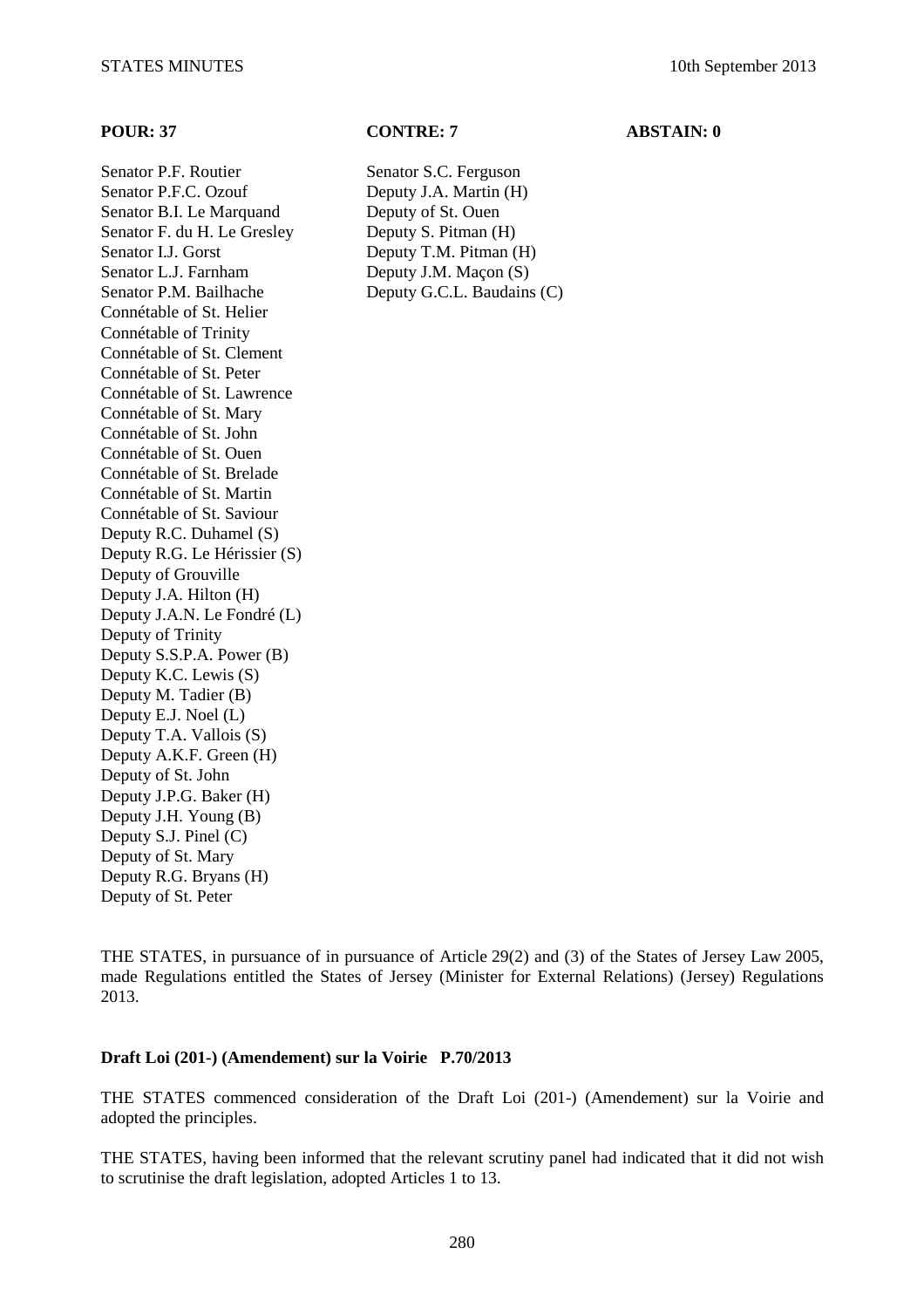Senator P.F. Routier Senator S.C. Ferguson Senator P.F.C. Ozouf Deputy J.A. Martin (H) Senator B.I. Le Marquand Deputy of St. Ouen Senator F. du H. Le Gresley Deputy S. Pitman (H) Senator I.J. Gorst Deputy T.M. Pitman (H) Senator L.J. Farnham Deputy J.M. Maçon (S) Senator P.M. Bailhache Deputy G.C.L. Baudains (C) Connétable of St. Helier Connétable of Trinity Connétable of St. Clement Connétable of St. Peter Connétable of St. Lawrence Connétable of St. Mary Connétable of St. John Connétable of St. Ouen Connétable of St. Brelade Connétable of St. Martin Connétable of St. Saviour Deputy R.C. Duhamel (S) Deputy R.G. Le Hérissier (S) Deputy of Grouville Deputy J.A. Hilton (H) Deputy J.A.N. Le Fondré (L) Deputy of Trinity Deputy S.S.P.A. Power (B) Deputy K.C. Lewis (S) Deputy M. Tadier (B) Deputy E.J. Noel (L) Deputy T.A. Vallois (S) Deputy A.K.F. Green (H) Deputy of St. John Deputy J.P.G. Baker (H) Deputy J.H. Young (B) Deputy S.J. Pinel (C) Deputy of St. Mary Deputy R.G. Bryans (H) Deputy of St. Peter

### **POUR: 37 CONTRE: 7 ABSTAIN: 0**

THE STATES, in pursuance of in pursuance of Article 29(2) and (3) of the States of Jersey Law 2005, made Regulations entitled the States of Jersey (Minister for External Relations) (Jersey) Regulations 2013.

### **Draft Loi (201-) (Amendement) sur la Voirie P.70/2013**

THE STATES commenced consideration of the Draft Loi (201-) (Amendement) sur la Voirie and adopted the principles.

THE STATES, having been informed that the relevant scrutiny panel had indicated that it did not wish to scrutinise the draft legislation, adopted Articles 1 to 13.